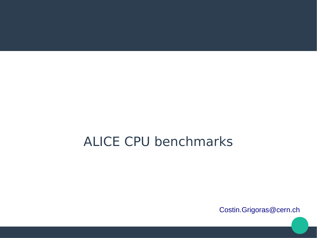## ALICE CPU benchmarks

[Costin.Grigoras@cern.ch](mailto:Costin.Grigoras@cern.ch)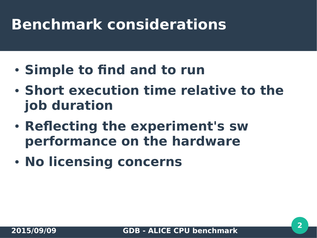# **Benchmark considerations**

- **Simple to find and to run**
- **Short execution time relative to the job duration**
- **Reflecting the experiment's sw performance on the hardware**
- **No licensing concerns**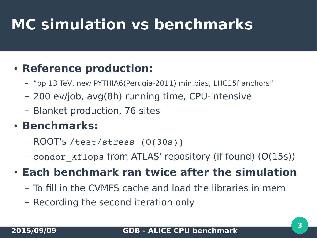# **MC simulation vs benchmarks**

## **• Reference production:**

- "pp 13 TeV, new PYTHIA6(Perugia-2011) min.bias, LHC15f anchors"
- 200 ev/job, avg(8h) running time, CPU-intensive
- Blanket production, 76 sites

### ● **Benchmarks:**

- ROOT's /test/stress (O(30s))
- condor\_kflops from ATLAS' repository (if found) (O(15s))
- **Each benchmark ran twice after the simulation**
	- To fill in the CVMFS cache and load the libraries in mem
	- Recording the second iteration only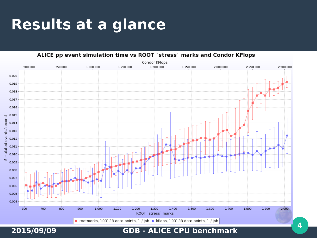# **Results at a glance**

ALICE pp event simulation time vs ROOT `stress` marks and Condor KFlops Condor KFlops 1,500,000 500,000 750,000 1.000.000 1.250.000 1.750.000 2.000.000 2,250,000 2.500.000 0.020 0.019 0.018 0.017 0.016 0.015 events/second 0.014 0.013 0.012 Simulated  $0.011$ 0.010 0.009 0.008 0.007 0.006 0.005 0.004 600 700 800 900 1,000 1,100 1,200 1,300 1,400 1,500 1,600 1,700 1,800 1,900 2,000 ROOT `stress` marks **2015/09/09 GDB - ALICE CPU benchmark <sup>4</sup>**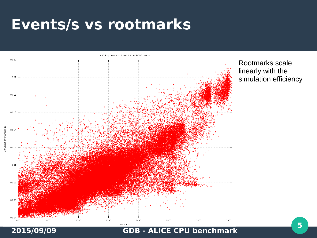## **Events/s vs rootmarks**



Rootmarks scale linearly with the simulation efficiency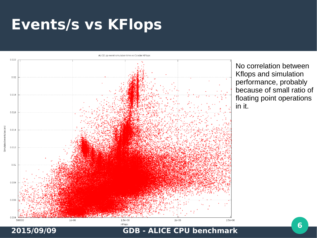# **Events/s vs KFlops**

ALICE pp event simulation time vs Condor KFlops



No correlation between Kflops and simulation performance, probably because of small ratio of floating point operations in it.